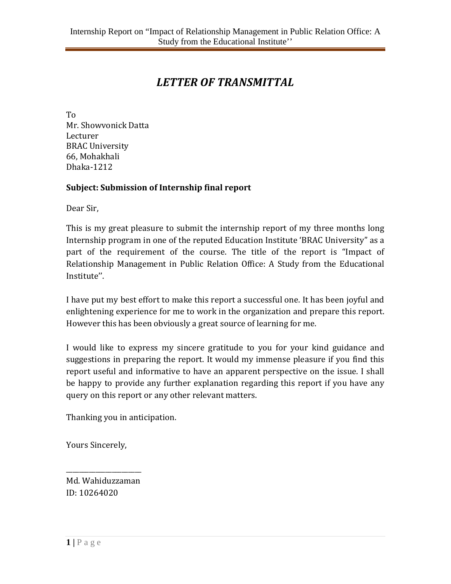## *LETTER OF TRANSMITTAL*

To Mr. Showvonick Datta Lecturer BRAC University 66, Mohakhali Dhaka-1212

#### **Subject: Submission of Internship final report**

Dear Sir,

This is my great pleasure to submit the internship report of my three months long Internship program in one of the reputed Education Institute 'BRAC University" as a part of the requirement of the course. The title of the report is "Impact of Relationship Management in Public Relation Office: A Study from the Educational Institute''.

I have put my best effort to make this report a successful one. It has been joyful and enlightening experience for me to work in the organization and prepare this report. However this has been obviously a great source of learning for me.

I would like to express my sincere gratitude to you for your kind guidance and suggestions in preparing the report. It would my immense pleasure if you find this report useful and informative to have an apparent perspective on the issue. I shall be happy to provide any further explanation regarding this report if you have any query on this report or any other relevant matters.

Thanking you in anticipation.

Yours Sincerely,

\_\_\_\_\_\_\_\_\_\_\_\_\_\_\_\_\_\_\_\_\_\_\_ Md. Wahiduzzaman ID: 10264020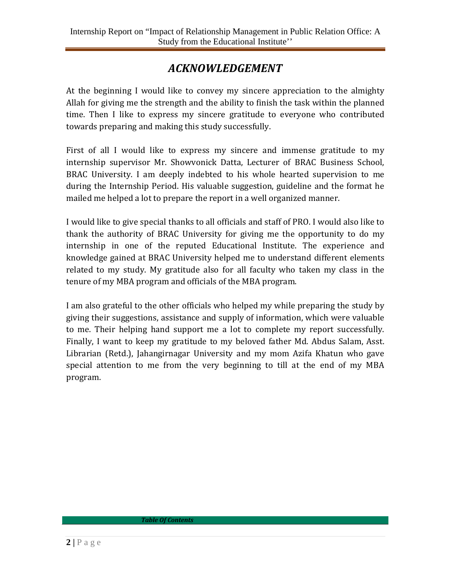## *ACKNOWLEDGEMENT*

At the beginning I would like to convey my sincere appreciation to the almighty Allah for giving me the strength and the ability to finish the task within the planned time. Then I like to express my sincere gratitude to everyone who contributed towards preparing and making this study successfully.

First of all I would like to express my sincere and immense gratitude to my internship supervisor Mr. Showvonick Datta, Lecturer of BRAC Business School, BRAC University. I am deeply indebted to his whole hearted supervision to me during the Internship Period. His valuable suggestion, guideline and the format he mailed me helped a lot to prepare the report in a well organized manner.

I would like to give special thanks to all officials and staff of PRO. I would also like to thank the authority of BRAC University for giving me the opportunity to do my internship in one of the reputed Educational Institute. The experience and knowledge gained at BRAC University helped me to understand different elements related to my study. My gratitude also for all faculty who taken my class in the tenure of my MBA program and officials of the MBA program.

I am also grateful to the other officials who helped my while preparing the study by giving their suggestions, assistance and supply of information, which were valuable to me. Their helping hand support me a lot to complete my report successfully. Finally, I want to keep my gratitude to my beloved father Md. Abdus Salam, Asst. Librarian (Retd.), Jahangirnagar University and my mom Azifa Khatun who gave special attention to me from the very beginning to till at the end of my MBA program.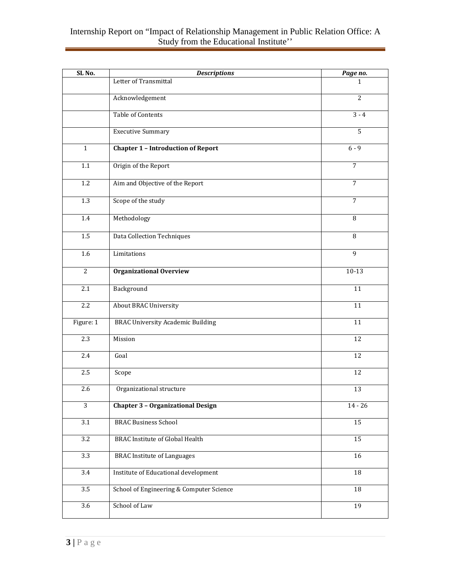#### Internship Report on "Impact of Relationship Management in Public Relation Office: A Study from the Educational Institute''

| SL <sub>No.</sub> | <b>Descriptions</b>                       | Page no.        |
|-------------------|-------------------------------------------|-----------------|
|                   | Letter of Transmittal                     | 1.              |
|                   | Acknowledgement                           | $\overline{2}$  |
|                   | <b>Table of Contents</b>                  | $3 - 4$         |
|                   | <b>Executive Summary</b>                  | $\overline{5}$  |
| $\mathbf{1}$      | <b>Chapter 1 - Introduction of Report</b> | $6 - 9$         |
| 1.1               | Origin of the Report                      | $\overline{7}$  |
| 1.2               | Aim and Objective of the Report           | $\overline{7}$  |
| 1.3               | Scope of the study                        | $\overline{7}$  |
| 1.4               | Methodology                               | 8               |
| $1.5\,$           | Data Collection Techniques                | 8               |
| 1.6               | Limitations                               | $\overline{9}$  |
| $\overline{2}$    | <b>Organizational Overview</b>            | $10-13$         |
| 2.1               | Background                                | 11              |
| 2.2               | <b>About BRAC University</b>              | $\overline{11}$ |
| Figure: 1         | <b>BRAC University Academic Building</b>  | 11              |
| 2.3               | Mission                                   | 12              |
| 2.4               | Goal                                      | 12              |
| 2.5               | Scope                                     | 12              |
| 2.6               | Organizational structure                  | 13              |
| $\overline{3}$    | <b>Chapter 3 - Organizational Design</b>  | $14 - 26$       |
| $\overline{3.1}$  | <b>BRAC Business School</b>               | 15              |
| $\overline{3.2}$  | <b>BRAC</b> Institute of Global Health    | $\overline{15}$ |
| $\overline{3.3}$  | <b>BRAC</b> Institute of Languages        | 16              |
| 3.4               | Institute of Educational development      | $18\,$          |
| 3.5               | School of Engineering & Computer Science  | 18              |
| 3.6               | School of Law                             | 19              |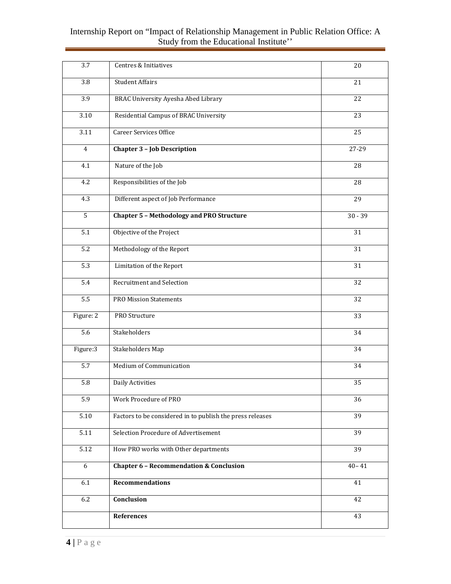#### Internship Report on "Impact of Relationship Management in Public Relation Office: A Study from the Educational Institute''

| 3.7               | Centres & Initiatives                                     | 20              |
|-------------------|-----------------------------------------------------------|-----------------|
| 3.8               | <b>Student Affairs</b>                                    | 21              |
| 3.9               | <b>BRAC University Ayesha Abed Library</b>                | 22              |
| $\overline{3.10}$ | Residential Campus of BRAC University                     | $\overline{23}$ |
| 3.11              | <b>Career Services Office</b>                             | 25              |
| $\overline{4}$    | <b>Chapter 3 - Job Description</b>                        | 27-29           |
| 4.1               | Nature of the Job                                         | 28              |
| 4.2               | Responsibilities of the Job                               | 28              |
| 4.3               | Different aspect of Job Performance                       | $\overline{29}$ |
| 5                 | <b>Chapter 5 - Methodology and PRO Structure</b>          | $30 - 39$       |
| 5.1               | Objective of the Project                                  | 31              |
| $\overline{5.2}$  | Methodology of the Report                                 | 31              |
| $\overline{5.3}$  | Limitation of the Report                                  | 31              |
| 5.4               | <b>Recruitment and Selection</b>                          | 32              |
| $\overline{5.5}$  | <b>PRO Mission Statements</b>                             | 32              |
| Figure: 2         | PRO Structure                                             | 33              |
| 5.6               | Stakeholders                                              | 34              |
| Figure:3          | <b>Stakeholders Map</b>                                   | 34              |
| 5.7               | Medium of Communication                                   | 34              |
| 5.8               | <b>Daily Activities</b>                                   | 35              |
| $\overline{5.9}$  | Work Procedure of PRO                                     | 36              |
| 5.10              | Factors to be considered in to publish the press releases | $\overline{39}$ |
| 5.11              | Selection Procedure of Advertisement                      | 39              |
| $\overline{5.12}$ | How PRO works with Other departments                      | 39              |
| $\overline{6}$    | <b>Chapter 6 - Recommendation &amp; Conclusion</b>        | $40 - 41$       |
| 6.1               | <b>Recommendations</b>                                    | 41              |
| 6.2               | Conclusion                                                | 42              |
|                   | References                                                | 43              |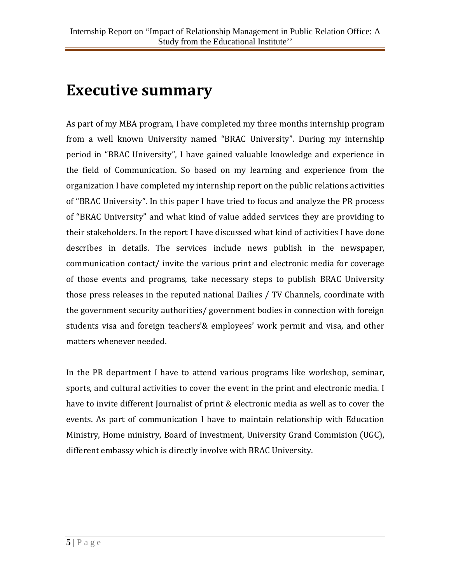## **Executive summary**

As part of my MBA program, I have completed my three months internship program from a well known University named "BRAC University". During my internship period in "BRAC University", I have gained valuable knowledge and experience in the field of Communication. So based on my learning and experience from the organization I have completed my internship report on the public relations activities of "BRAC University". In this paper I have tried to focus and analyze the PR process of "BRAC University" and what kind of value added services they are providing to their stakeholders. In the report I have discussed what kind of activities I have done describes in details. The services include news publish in the newspaper, communication contact/ invite the various print and electronic media for coverage of those events and programs, take necessary steps to publish BRAC University those press releases in the reputed national Dailies / TV Channels, coordinate with the government security authorities/ government bodies in connection with foreign students visa and foreign teachers'& employees' work permit and visa, and other matters whenever needed.

In the PR department I have to attend various programs like workshop, seminar, sports, and cultural activities to cover the event in the print and electronic media. I have to invite different Journalist of print & electronic media as well as to cover the events. As part of communication I have to maintain relationship with Education Ministry, Home ministry, Board of Investment, University Grand Commision (UGC), different embassy which is directly involve with BRAC University.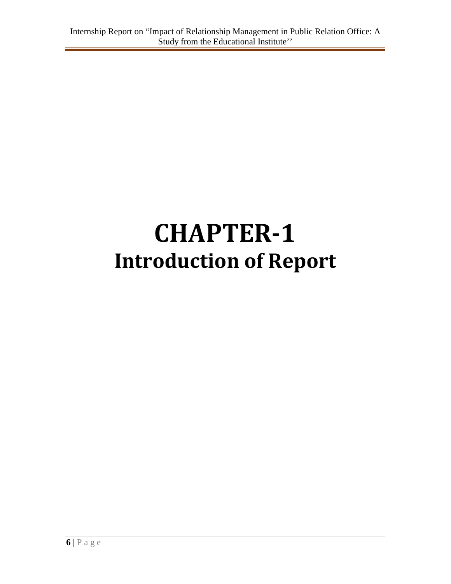# **CHAPTER-1 Introduction of Report**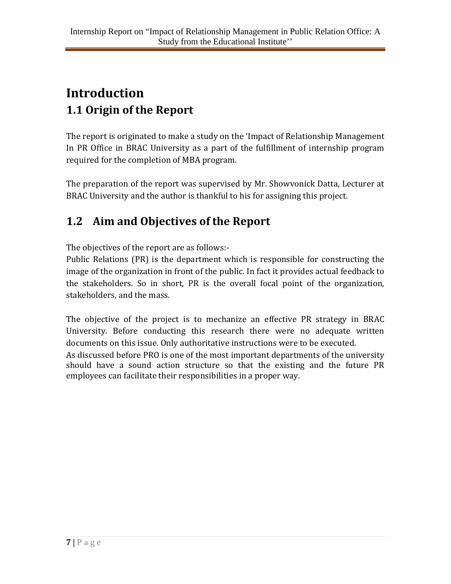## **Introduction 1.1 Origin of the Report**

The report is originated to make a study on the 'Impact of Relationship Management In PR Office in BRAC University as a part of the fulfillment of internship program required for the completion of MBA program.

The preparation of the report was supervised by Mr. Showvonick Datta, Lecturer at BRAC University and the author is thankful to his for assigning this project.

## **1.2 Aim and Objectives of the Report**

The objectives of the report are as follows:-

Public Relations (PR) is the department which is responsible for constructing the image of the organization in front of the public. In fact it provides actual feedback to the stakeholders. So in short, PR is the overall focal point of the organization, stakeholders, and the mass.

The objective of the project is to mechanize an effective PR strategy in BRAC University. Before conducting this research there were no adequate written documents on this issue. Only authoritative instructions were to be executed. As discussed before PRO is one of the most important departments of the university should have a sound action structure so that the existing and the future PR employees can facilitate their responsibilities in a proper way.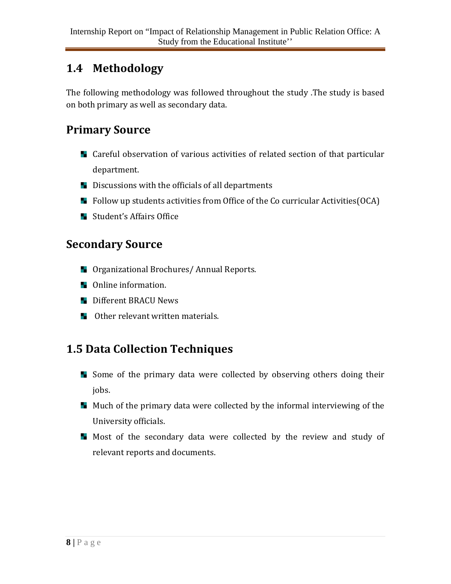## **1.4 Methodology**

The following methodology was followed throughout the study .The study is based on both primary as well as secondary data.

## **Primary Source**

- **L** Careful observation of various activities of related section of that particular department.
- **Discussions with the officials of all departments**
- **Follow up students activities from Office of the Co curricular Activities(OCA)**
- **Student's Affairs Office**

### **Secondary Source**

- **D** Organizational Brochures/ Annual Reports.
- **De** Online information.
- **Different BRACU News**
- **N** Other relevant written materials.

## **1.5 Data Collection Techniques**

- Some of the primary data were collected by observing others doing their jobs.
- **Much of the primary data were collected by the informal interviewing of the** University officials.
- Most of the secondary data were collected by the review and study of relevant reports and documents.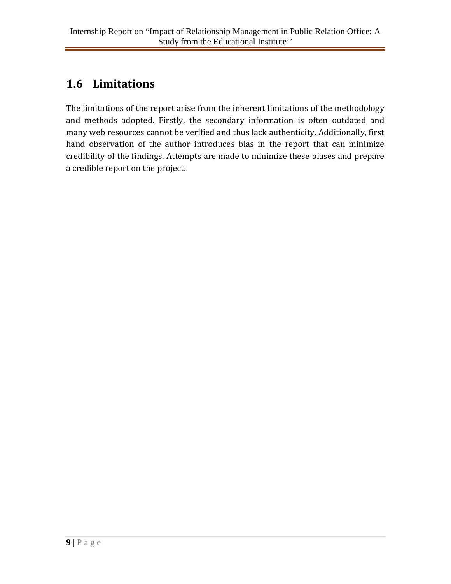## **1.6 Limitations**

The limitations of the report arise from the inherent limitations of the methodology and methods adopted. Firstly, the secondary information is often outdated and many web resources cannot be verified and thus lack authenticity. Additionally, first hand observation of the author introduces bias in the report that can minimize credibility of the findings. Attempts are made to minimize these biases and prepare a credible report on the project.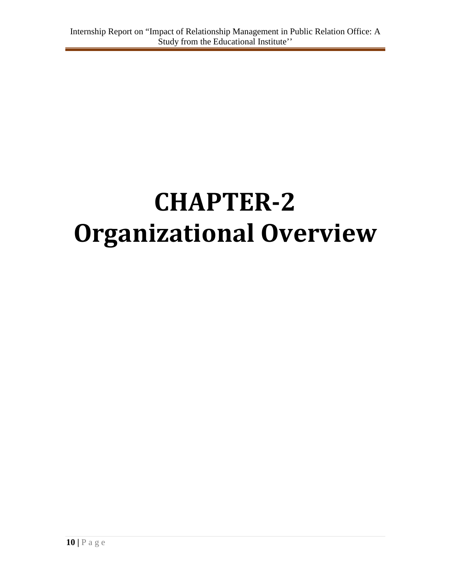# **CHAPTER-2 Organizational Overview**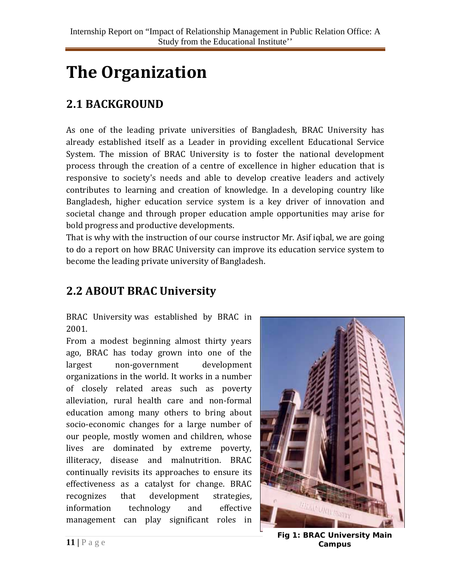## **The Organization**

## **2.1 BACKGROUND**

As one of the leading private universities of Bangladesh, BRAC University has already established itself as a Leader in providing excellent Educational Service System. The mission of BRAC University is to foster the national development process through the creation of a centre of excellence in higher education that is responsive to society's needs and able to develop creative leaders and actively contributes to learning and creation of knowledge. In a developing country like Bangladesh, higher education service system is a key driver of innovation and societal change and through proper education ample opportunities may arise for bold progress and productive developments.

That is why with the instruction of our course instructor Mr. Asif iqbal, we are going to do a report on how BRAC University can improve its education service system to become the leading private university of Bangladesh.

## **2.2 ABOUT BRAC University**

BRAC University was established by BRAC in 2001.

From a modest beginning almost thirty years ago, BRAC has today grown into one of the largest non-government development organizations in the world. It works in a number of closely related areas such as poverty alleviation, rural health care and non-formal education among many others to bring about socio-economic changes for a large number of our people, mostly women and children, whose lives are dominated by extreme poverty, illiteracy, disease and malnutrition. BRAC continually revisits its approaches to ensure its effectiveness as a catalyst for change. BRAC recognizes that development strategies, information technology and effective management can play significant roles in



**11** | P a g e **Fig 1: BRAC University Main Fig 1: BRAC University Main Campus**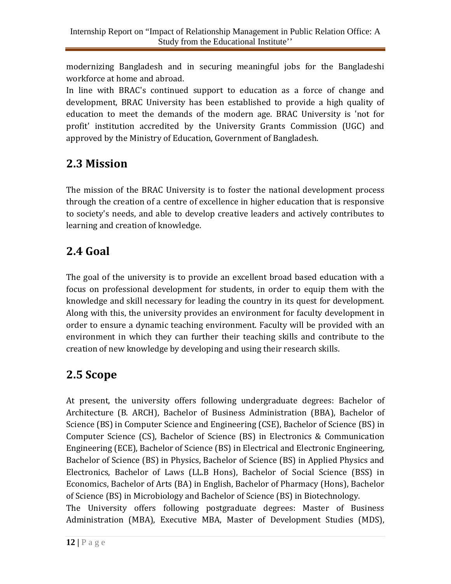modernizing Bangladesh and in securing meaningful jobs for the Bangladeshi workforce at home and abroad.

In line with BRAC's continued support to education as a force of change and development, BRAC University has been established to provide a high quality of education to meet the demands of the modern age. BRAC University is 'not for profit' institution accredited by the University Grants Commission (UGC) and approved by the Ministry of Education, Government of Bangladesh.

## **2.3 Mission**

The mission of the BRAC University is to foster the national development process through the creation of a centre of excellence in higher education that is responsive to society's needs, and able to develop creative leaders and actively contributes to learning and creation of knowledge.

## **2.4 Goal**

The goal of the university is to provide an excellent broad based education with a focus on professional development for students, in order to equip them with the knowledge and skill necessary for leading the country in its quest for development. Along with this, the university provides an environment for faculty development in order to ensure a dynamic teaching environment. Faculty will be provided with an environment in which they can further their teaching skills and contribute to the creation of new knowledge by developing and using their research skills.

## **2.5 Scope**

At present, the university offers following undergraduate degrees: Bachelor of Architecture (B. ARCH), Bachelor of Business Administration (BBA), Bachelor of Science (BS) in Computer Science and Engineering (CSE), Bachelor of Science (BS) in Computer Science (CS), Bachelor of Science (BS) in Electronics & Communication Engineering (ECE), Bachelor of Science (BS) in Electrical and Electronic Engineering, Bachelor of Science (BS) in Physics, Bachelor of Science (BS) in Applied Physics and Electronics, Bachelor of Laws (LL.B Hons), Bachelor of Social Science (BSS) in Economics, Bachelor of Arts (BA) in English, Bachelor of Pharmacy (Hons), Bachelor of Science (BS) in Microbiology and Bachelor of Science (BS) in Biotechnology.

The University offers following postgraduate degrees: Master of Business Administration (MBA), Executive MBA, Master of Development Studies (MDS),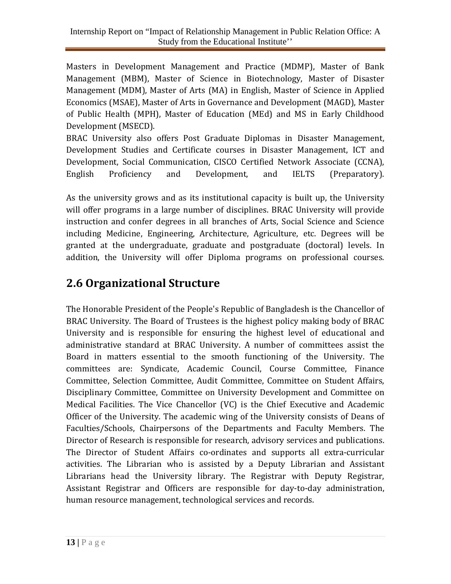Masters in Development Management and Practice (MDMP), Master of Bank Management (MBM), Master of Science in Biotechnology, Master of Disaster Management (MDM), Master of Arts (MA) in English, Master of Science in Applied Economics (MSAE), Master of Arts in Governance and Development (MAGD), Master of Public Health (MPH), Master of Education (MEd) and MS in Early Childhood Development (MSECD).

BRAC University also offers Post Graduate Diplomas in Disaster Management, Development Studies and Certificate courses in Disaster Management, ICT and Development, Social Communication, CISCO Certified Network Associate (CCNA), English Proficiency and Development, and IELTS (Preparatory).

As the university grows and as its institutional capacity is built up, the University will offer programs in a large number of disciplines. BRAC University will provide instruction and confer degrees in all branches of Arts, Social Science and Science including Medicine, Engineering, Architecture, Agriculture, etc. Degrees will be granted at the undergraduate, graduate and postgraduate (doctoral) levels. In addition, the University will offer Diploma programs on professional courses.

## **2.6 Organizational Structure**

The Honorable President of the People's Republic of Bangladesh is the Chancellor of BRAC University. The Board of Trustees is the highest policy making body of BRAC University and is responsible for ensuring the highest level of educational and administrative standard at BRAC University. A number of committees assist the Board in matters essential to the smooth functioning of the University. The committees are: Syndicate, Academic Council, Course Committee, Finance Committee, Selection Committee, Audit Committee, Committee on Student Affairs, Disciplinary Committee, Committee on University Development and Committee on Medical Facilities. The Vice Chancellor (VC) is the Chief Executive and Academic Officer of the University. The academic wing of the University consists of Deans of Faculties/Schools, Chairpersons of the Departments and Faculty Members. The Director of Research is responsible for research, advisory services and publications. The Director of Student Affairs co-ordinates and supports all extra-curricular activities. The Librarian who is assisted by a Deputy Librarian and Assistant Librarians head the University library. The Registrar with Deputy Registrar, Assistant Registrar and Officers are responsible for day-to-day administration, human resource management, technological services and records.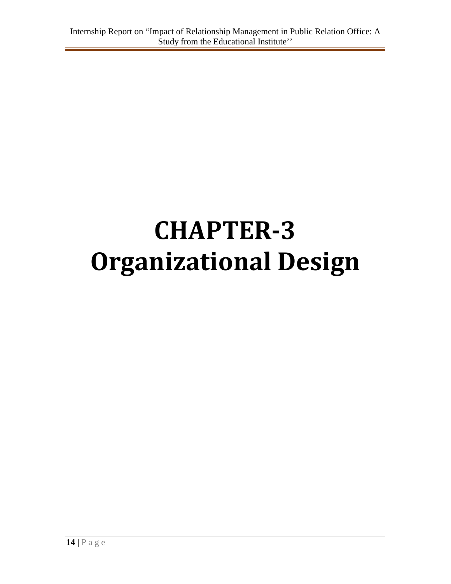# **CHAPTER-3 Organizational Design**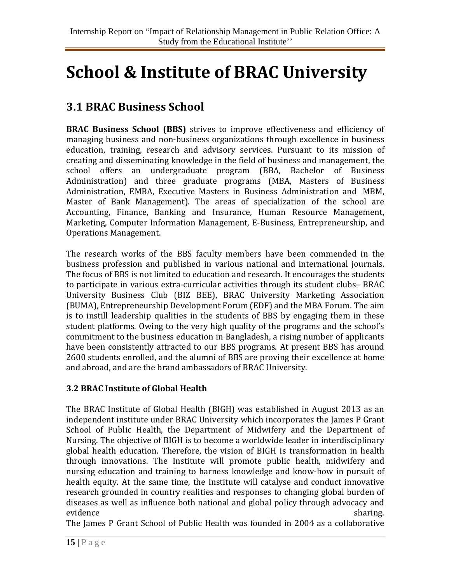## **School & Institute of BRAC University**

## **3.1 BRAC Business School**

**BRAC Business School (BBS)** strives to improve effectiveness and efficiency of managing business and non-business organizations through excellence in business education, training, research and advisory services. Pursuant to its mission of creating and disseminating knowledge in the field of business and management, the school offers an undergraduate program [\(BBA, Bachelor of Business](http://www.bracu.ac.bd/academics/institutes-and-schools/brac-business-school/bachelor-business-administration)  [Administration\)](http://www.bracu.ac.bd/academics/institutes-and-schools/brac-business-school/bachelor-business-administration) and three graduate programs [\(MBA, Masters of Business](http://www.bracu.ac.bd/academics/institutes-and-schools/brac-business-school/master-business-administration)  [Administration,](http://www.bracu.ac.bd/academics/institutes-and-schools/brac-business-school/master-business-administration) [EMBA, Executive Masters in Business Administration](http://www.bracu.ac.bd/academics/institutes-and-schools/brac-business-school/executive-mba-emba) and [MBM,](http://www.bracu.ac.bd/academics/institutes-and-schools/brac-business-school/master-bank-management)  [Master of Bank Management\)](http://www.bracu.ac.bd/academics/institutes-and-schools/brac-business-school/master-bank-management). The areas of specialization of the school are Accounting, Finance, Banking and Insurance, Human Resource Management, Marketing, Computer Information Management, E-Business, Entrepreneurship, and Operations Management.

The research works of the BBS faculty members have been commended in the business profession and published in various national and international journals. The focus of BBS is not limited to education and research. It encourages the students to participate in various extra-curricular activities through its student clubs– BRAC University Business Club (BIZ BEE), BRAC University Marketing Association (BUMA), Entrepreneurship Development Forum (EDF) and the MBA Forum. The aim is to instill leadership qualities in the students of BBS by engaging them in these student platforms. Owing to the very high quality of the programs and the school's commitment to the business education in Bangladesh, a rising number of applicants have been consistently attracted to our BBS programs. At present BBS has around 2600 students enrolled, and the alumni of BBS are proving their excellence at home and abroad, and are the brand ambassadors of BRAC University.

#### **3.2 BRAC Institute of Global Health**

The BRAC Institute of Global Health (BIGH) was established in August 2013 as an independent institute under BRAC University which incorporates the James P Grant School of Public Health, the Department of Midwifery and the Department of Nursing. The objective of BIGH is to become a worldwide leader in interdisciplinary global health education. Therefore, the vision of BIGH is transformation in health through innovations. The Institute will promote public health, midwifery and nursing education and training to harness knowledge and know-how in pursuit of health equity. At the same time, the Institute will catalyse and conduct innovative research grounded in country realities and responses to changing global burden of diseases as well as influence both national and global policy through advocacy and evidence sharing.

The James P Grant School of Public Health was founded in 2004 as a collaborative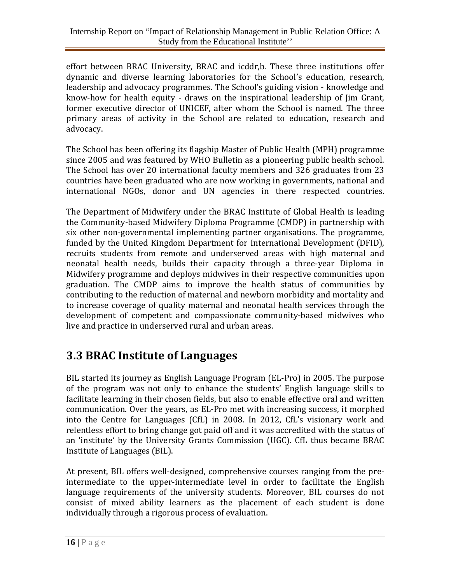effort between BRAC University, BRAC and icddr,b. These three institutions offer dynamic and diverse learning laboratories for the School's education, research, leadership and advocacy programmes. The School's guiding vision - knowledge and know-how for health equity - draws on the inspirational leadership of Jim Grant, former executive director of UNICEF, after whom the School is named. The three primary areas of activity in the School are related to education, research and advocacy.

The School has been offering its flagship Master of Public Health (MPH) programme since 2005 and was featured by WHO Bulletin as a pioneering public health school. The School has over 20 international faculty members and 326 graduates from 23 countries have been graduated who are now working in governments, national and international NGOs, donor and UN agencies in there respected countries.

The Department of Midwifery under the BRAC Institute of Global Health is leading the Community-based Midwifery Diploma Programme (CMDP) in partnership with six other non-governmental implementing partner organisations. The programme, funded by the United Kingdom Department for International Development (DFID), recruits students from remote and underserved areas with high maternal and neonatal health needs, builds their capacity through a three-year Diploma in Midwifery programme and deploys midwives in their respective communities upon graduation. The CMDP aims to improve the health status of communities by contributing to the reduction of maternal and newborn morbidity and mortality and to increase coverage of quality maternal and neonatal health services through the development of competent and compassionate community-based midwives who live and practice in underserved rural and urban areas.

## **3.3 BRAC Institute of Languages**

BIL started its journey as English Language Program (EL-Pro) in 2005. The purpose of the program was not only to enhance the students' English language skills to facilitate learning in their chosen fields, but also to enable effective oral and written communication. Over the years, as EL-Pro met with increasing success, it morphed into the Centre for Languages (CfL) in 2008. In 2012, CfL's visionary work and relentless effort to bring change got paid off and it was accredited with the status of an 'institute' by the University Grants Commission (UGC). CfL thus became BRAC Institute of Languages (BIL).

At present, BIL offers well-designed, comprehensive courses ranging from the preintermediate to the upper-intermediate level in order to facilitate the English language requirements of the university students. Moreover, BIL courses do not consist of mixed ability learners as the placement of each student is done individually through a rigorous process of evaluation.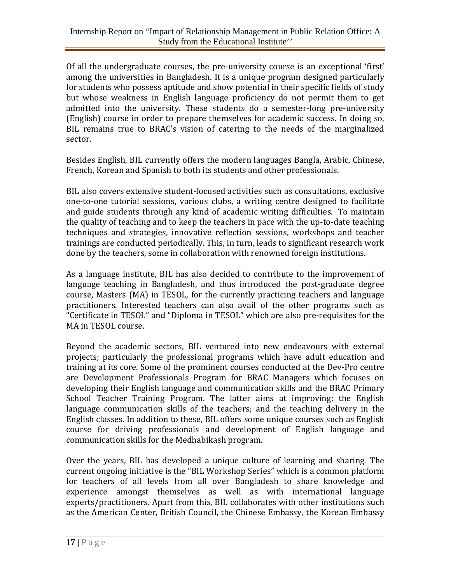Of all the undergraduate courses, the pre-university course is an exceptional 'first' among the universities in Bangladesh. It is a unique program designed particularly for students who possess aptitude and show potential in their specific fields of study but whose weakness in English language proficiency do not permit them to get admitted into the university. These students do a semester-long pre-university (English) course in order to prepare themselves for academic success. In doing so, BIL remains true to BRAC's vision of catering to the needs of the marginalized sector.

Besides English, BIL currently offers the modern languages Bangla, Arabic, Chinese, French, Korean and Spanish to both its students and other professionals.

BIL also covers extensive student-focused activities such as consultations, exclusive one-to-one tutorial sessions, various clubs, a writing centre designed to facilitate and guide students through any kind of academic writing difficulties. To maintain the quality of teaching and to keep the teachers in pace with the up-to-date teaching techniques and strategies, innovative reflection sessions, workshops and teacher trainings are conducted periodically. This, in turn, leads to significant research work done by the teachers, some in collaboration with renowned foreign institutions.

As a language institute, BIL has also decided to contribute to the improvement of language teaching in Bangladesh, and thus introduced the post-graduate degree course, Masters (MA) in TESOL, for the currently practicing teachers and language practitioners. Interested teachers can also avail of the other programs such as "Certificate in TESOL" and "Diploma in TESOL" which are also pre-requisites for the MA in TESOL course.

Beyond the academic sectors, BIL ventured into new endeavours with external projects; particularly the professional programs which have adult education and training at its core. Some of the prominent courses conducted at the Dev-Pro centre are Development Professionals Program for BRAC Managers which focuses on developing their English language and communication skills and the BRAC Primary School Teacher Training Program. The latter aims at improving: the English language communication skills of the teachers; and the teaching delivery in the English classes. In addition to these, BIL offers some unique courses such as English course for driving professionals and development of English language and communication skills for the Medhabikash program.

Over the years, BIL has developed a unique culture of learning and sharing. The current ongoing initiative is the "BIL Workshop Series" which is a common platform for teachers of all levels from all over Bangladesh to share knowledge and experience amongst themselves as well as with international language experts/practitioners. Apart from this, BIL collaborates with other institutions such as the American Center, British Council, the Chinese Embassy, the Korean Embassy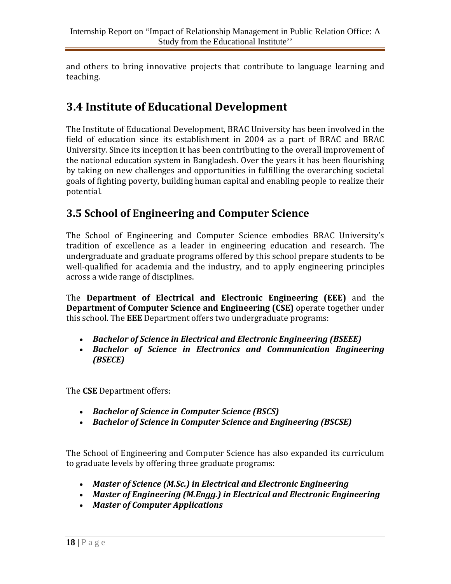and others to bring innovative projects that contribute to language learning and teaching.

## **3.4 Institute of Educational Development**

The Institute of Educational Development, BRAC University has been involved in the field of education since its establishment in 2004 as a part of BRAC and BRAC University. Since its inception it has been contributing to the overall improvement of the national education system in Bangladesh. Over the years it has been flourishing by taking on new challenges and opportunities in fulfilling the overarching societal goals of fighting poverty, building human capital and enabling people to realize their potential.

### **3.5 School of Engineering and Computer Science**

The School of Engineering and Computer Science embodies BRAC University's tradition of excellence as a leader in engineering education and research. The undergraduate and graduate programs offered by this school prepare students to be well-qualified for academia and the industry, and to apply engineering principles across a wide range of disciplines.

The **Department of Electrical and Electronic Engineering (EEE)** and the **Department of Computer Science and Engineering (CSE)** operate together under this school. The **EEE** Department offers two undergraduate programs:

- *Bachelor of Science in Electrical and Electronic Engineering (BSEEE)*
- *Bachelor of Science in Electronics and Communication Engineering (BSECE)*

The **CSE** Department offers:

- *Bachelor of Science in Computer Science (BSCS)*
- *Bachelor of Science in Computer Science and Engineering (BSCSE)*

The School of Engineering and Computer Science has also expanded its curriculum to graduate levels by offering three graduate programs:

- *Master of Science (M.Sc.) in Electrical and Electronic Engineering*
- *Master of Engineering (M.Engg.) in Electrical and Electronic Engineering*
- *Master of Computer Applications*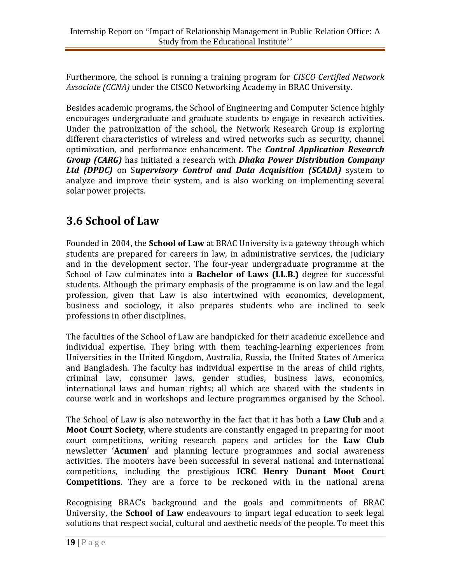Furthermore, the school is running a training program for *CISCO Certified Network Associate (CCNA)* under the CISCO Networking Academy in BRAC University.

Besides academic programs, the School of Engineering and Computer Science highly encourages undergraduate and graduate students to engage in research activities. Under the patronization of the school, the Network Research Group is exploring different characteristics of wireless and wired networks such as security, channel optimization, and performance enhancement. The *Control Application Research Group (CARG)* has initiated a research with *Dhaka Power Distribution Company Ltd (DPDC)* on S*upervisory Control and Data Acquisition (SCADA)* system to analyze and improve their system, and is also working on implementing several solar power projects.

## **3.6 School of Law**

Founded in 2004, the **School of Law** at BRAC University is a gateway through which students are prepared for careers in law, in administrative services, the judiciary and in the development sector. The four-year undergraduate programme at the School of Law culminates into a **Bachelor of Laws (LL.B.)** degree for successful students. Although the primary emphasis of the programme is on law and the legal profession, given that Law is also intertwined with economics, development, business and sociology, it also prepares students who are inclined to seek professions in other disciplines.

The faculties of the School of Law are handpicked for their academic excellence and individual expertise. They bring with them teaching-learning experiences from Universities in the United Kingdom, Australia, Russia, the United States of America and Bangladesh. The faculty has individual expertise in the areas of child rights, criminal law, consumer laws, gender studies, business laws, economics, international laws and human rights; all which are shared with the students in course work and in workshops and lecture programmes organised by the School.

The School of Law is also noteworthy in the fact that it has both a **Law Club** and a **Moot Court Society**, where students are constantly engaged in preparing for moot court competitions, writing research papers and articles for the **Law Club** newsletter '**Acumen**' and planning lecture programmes and social awareness activities. The mooters have been successful in several national and international competitions, including the prestigious **ICRC Henry Dunant Moot Court Competitions**. They are a force to be reckoned with in the national arena

Recognising BRAC's background and the goals and commitments of BRAC University, the **School of Law** endeavours to impart legal education to seek legal solutions that respect social, cultural and aesthetic needs of the people. To meet this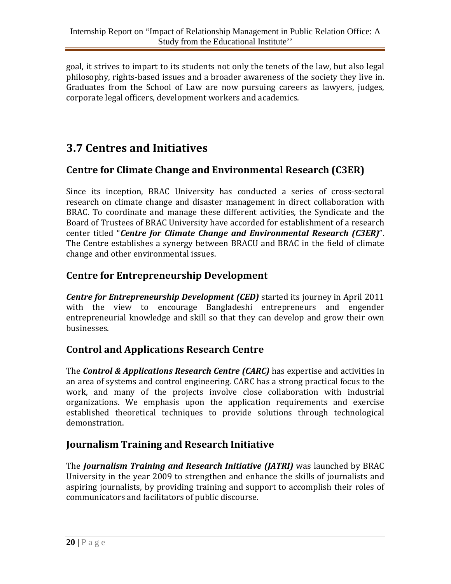goal, it strives to impart to its students not only the tenets of the law, but also legal philosophy, rights-based issues and a broader awareness of the society they live in. Graduates from the School of Law are now pursuing careers as lawyers, judges, corporate legal officers, development workers and academics.

## **3.7 Centres and Initiatives**

#### **Centre for Climate Change and Environmental Research (C3ER)**

Since its inception, BRAC University has conducted a series of cross-sectoral research on climate change and disaster management in direct collaboration with BRAC. To coordinate and manage these different activities, the Syndicate and the Board of Trustees of BRAC University have accorded for establishment of a research center titled "*Centre for Climate Change and Environmental Research (C3ER)*". The Centre establishes a synergy between BRACU and BRAC in the field of climate change and other environmental issues.

#### **Centre for Entrepreneurship Development**

*Centre for Entrepreneurship Development (CED)* started its journey in April 2011 with the view to encourage Bangladeshi entrepreneurs and engender entrepreneurial knowledge and skill so that they can develop and grow their own businesses.

#### **Control and Applications Research Centre**

The *Control & Applications Research Centre (CARC)* has expertise and activities in an area of systems and control engineering. CARC has a strong practical focus to the work, and many of the projects involve close collaboration with industrial organizations. We emphasis upon the application requirements and exercise established theoretical techniques to provide solutions through technological demonstration.

#### **Journalism Training and Research Initiative**

The *Journalism Training and Research Initiative (JATRI)* was launched by BRAC University in the year 2009 to strengthen and enhance the skills of journalists and aspiring journalists, by providing training and support to accomplish their roles of communicators and facilitators of public discourse.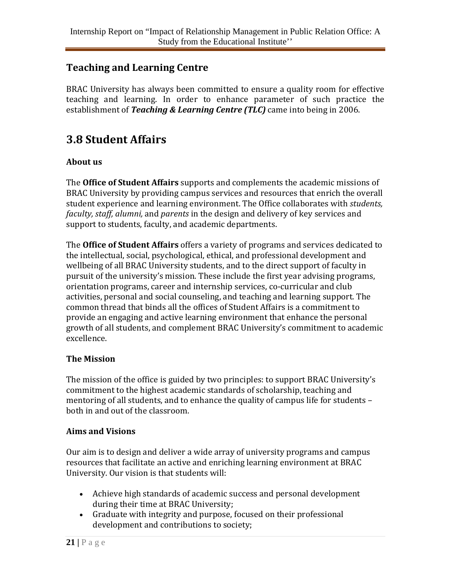#### **Teaching and Learning Centre**

BRAC University has always been committed to ensure a quality room for effective teaching and learning. In order to enhance parameter of such practice the establishment of *Teaching & Learning Centre (TLC)* came into being in 2006.

## **3.8 Student Affairs**

#### **About us**

The **Office of Student Affairs** supports and complements the academic missions of BRAC University by providing campus services and resources that enrich the overall student experience and learning environment. The Office collaborates with *students, faculty, staff, alumni,* and *parents* in the design and delivery of key services and support to students, faculty, and academic departments.

The **Office of Student Affairs** offers a variety of programs and services dedicated to the intellectual, social, psychological, ethical, and professional development and wellbeing of all BRAC University students, and to the direct support of faculty in pursuit of the university's mission. These include the first year advising programs, orientation programs, career and internship services, co-curricular and club activities, personal and social counseling, and teaching and learning support. The common thread that binds all the offices of Student Affairs is a commitment to provide an engaging and active learning environment that enhance the personal growth of all students, and complement BRAC University's commitment to academic excellence.

#### **The Mission**

The mission of the office is guided by two principles: to support BRAC University's commitment to the highest academic standards of scholarship, teaching and mentoring of all students, and to enhance the quality of campus life for students – both in and out of the classroom.

#### **Aims and Visions**

Our aim is to design and deliver a wide array of university programs and campus resources that facilitate an active and enriching learning environment at BRAC University. Our vision is that students will:

- Achieve high standards of academic success and personal development during their time at BRAC University;
- Graduate with integrity and purpose, focused on their professional development and contributions to society;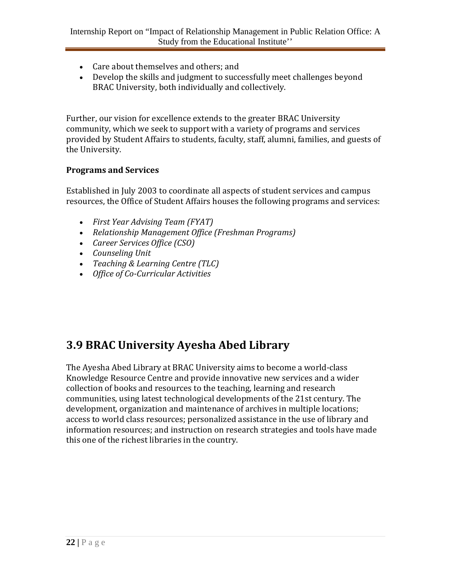- Care about themselves and others; and
- Develop the skills and judgment to successfully meet challenges beyond BRAC University, both individually and collectively.

Further, our vision for excellence extends to the greater BRAC University community, which we seek to support with a variety of programs and services provided by Student Affairs to students, faculty, staff, alumni, families, and guests of the University.

#### **Programs and Services**

Established in July 2003 to coordinate all aspects of student services and campus resources, the Office of Student Affairs houses the following programs and services:

- *First Year Advising Team (FYAT)*
- *Relationship Management Office (Freshman Programs)*
- *Career Services Office (CSO)*
- *Counseling Unit*
- *Teaching & Learning Centre (TLC)*
- *Office of Co-Curricular Activities*

## **3.9 BRAC University Ayesha Abed Library**

The Ayesha Abed Library at BRAC University aims to become a world-class Knowledge Resource Centre and provide innovative new services and a wider collection of books and resources to the teaching, learning and research communities, using latest technological developments of the 21st century. The development, organization and maintenance of archives in multiple locations; access to world class resources; personalized assistance in the use of library and information resources; and instruction on research strategies and tools have made this one of the richest libraries in the country.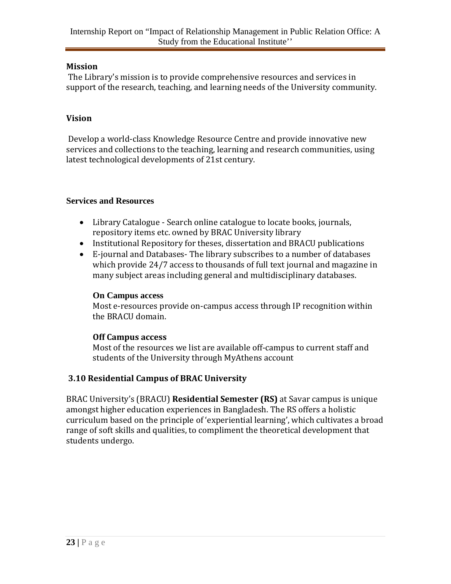#### **Mission**

The Library's mission is to provide comprehensive resources and services in support of the research, teaching, and learning needs of the University community.

#### **Vision**

Develop a world-class Knowledge Resource Centre and provide innovative new services and collections to the teaching, learning and research communities, using latest technological developments of 21st century.

#### **Services and Resources**

- [Library Catalogue](http://library.bracu.ac.bd/renew) Search online catalogue to locate books, journals, repository items etc. owned by [BRAC University library](http://library.bracu.ac.bd/)
- [Institutional Repository](http://dspace.bracu.ac.bd/) for theses, dissertation and BRACU publications
- [E-journal and Databases-](http://library.bracu.ac.bd/main/atoz-database) The library subscribes to a number of databases which provide 24/7 access to thousands of full text journal and magazine in many subject areas including general and multidisciplinary databases.

#### **On Campus access**

Most e-resources provide on-campus access through IP recognition within the BRACU domain.

#### **Off Campus access**

Most of the resources we list are available off-campus to current staff and students of the University through [MyAthens account](https://auth.athensams.net/)

#### **3.10 Residential Campus of BRAC University**

BRAC University's (BRACU) **Residential Semester (RS)** at Savar campus is unique amongst higher education experiences in Bangladesh. The RS offers a holistic curriculum based on the principle of 'experiential learning', which cultivates a broad range of soft skills and qualities, to compliment the theoretical development that students undergo.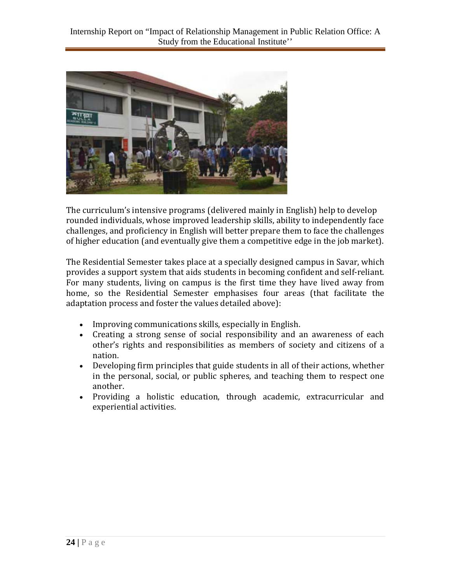

The curriculum's intensive programs (delivered mainly in English) help to develop rounded individuals, whose improved leadership skills, ability to independently face challenges, and proficiency in English will better prepare them to face the challenges of higher education (and eventually give them a competitive edge in the job market).

The Residential Semester takes place at a specially designed campus in Savar, which provides a support system that aids students in becoming confident and self-reliant. For many students, living on campus is the first time they have lived away from home, so the Residential Semester emphasises four areas (that facilitate the adaptation process and foster the values detailed above):

- Improving communications skills, especially in English.
- Creating a strong sense of social responsibility and an awareness of each other's rights and responsibilities as members of society and citizens of a nation.
- Developing firm principles that guide students in all of their actions, whether in the personal, social, or public spheres, and teaching them to respect one another.
- Providing a holistic education, through academic, extracurricular and experiential activities.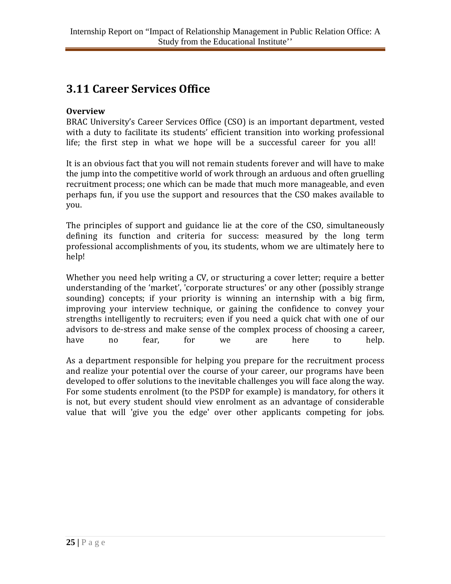## **3.11 Career Services Office**

#### **Overview**

BRAC University's Career Services Office (CSO) is an important department, vested with a duty to facilitate its students' efficient transition into working professional life; the first step in what we hope will be a successful career for you all!

It is an obvious fact that you will not remain students forever and will have to make the jump into the competitive world of work through an arduous and often gruelling recruitment process; one which can be made that much more manageable, and even perhaps fun, if you use the support and resources that the CSO makes available to you.

The principles of support and guidance lie at the core of the CSO, simultaneously defining its function and criteria for success: measured by the long term professional accomplishments of you, its students, whom we are ultimately here to help!

Whether you need help writing a CV, or structuring a cover letter; require a better understanding of the 'market', 'corporate structures' or any other (possibly strange sounding) concepts; if your priority is winning an internship with a big firm, improving your interview technique, or gaining the confidence to convey your strengths intelligently to recruiters; even if you need a quick chat with one of our advisors to de-stress and make sense of the complex process of choosing a career,<br>have no fear, for we are here to help. have no fear, for we are here to help.

As a department responsible for helping you prepare for the recruitment process and realize your potential over the course of your career, our programs have been developed to offer solutions to the inevitable challenges you will face along the way. For some students enrolment (to the PSDP for example) is mandatory, for others it is not, but every student should view enrolment as an advantage of considerable value that will 'give you the edge' over other applicants competing for jobs.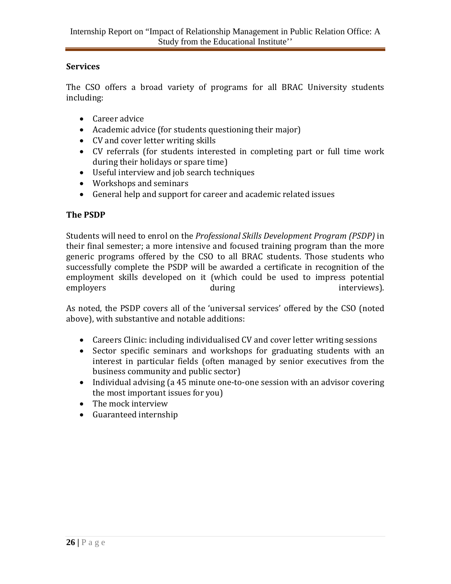#### **Services**

The CSO offers a broad variety of programs for all BRAC University students including:

- Career advice
- Academic advice (for students questioning their major)
- CV and cover letter writing skills
- CV referrals (for students interested in completing part or full time work during their holidays or spare time)
- Useful interview and job search techniques
- Workshops and seminars
- General help and support for career and academic related issues

#### **The PSDP**

Students will need to enrol on the *Professional Skills Development Program (PSDP)* in their final semester; a more intensive and focused training program than the more generic programs offered by the CSO to all BRAC students. Those students who successfully complete the PSDP will be awarded a certificate in recognition of the employment skills developed on it (which could be used to impress potential employers during the views). employers **during** during interviews).

As noted, the PSDP covers all of the 'universal services' offered by the CSO (noted above), with substantive and notable additions:

- Careers Clinic: including individualised CV and cover letter writing sessions
- Sector specific seminars and workshops for graduating students with an interest in particular fields (often managed by senior executives from the business community and public sector)
- Individual advising (a 45 minute one-to-one session with an advisor covering the most important issues for you)
- The mock interview
- Guaranteed internship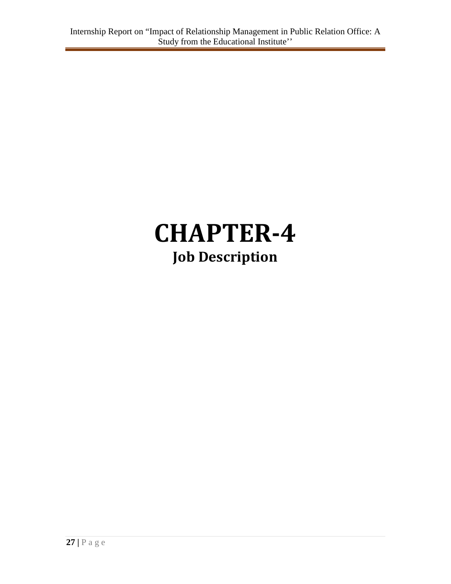## **CHAPTER-4 Job Description**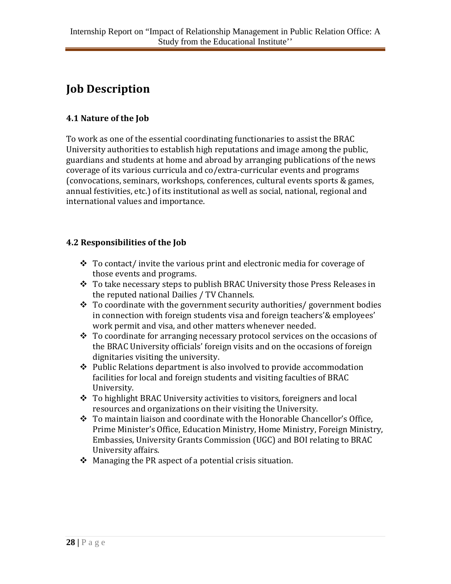## **Job Description**

#### **4.1 Nature of the Job**

To work as one of the essential coordinating functionaries to assist the BRAC University authorities to establish high reputations and image among the public, guardians and students at home and abroad by arranging publications of the news coverage of its various curricula and co/extra-curricular events and programs (convocations, seminars, workshops, conferences, cultural events sports & games, annual festivities, etc.) of its institutional as well as social, national, regional and international values and importance.

#### **4.2 Responsibilities of the Job**

- $\cdot$  To contact/ invite the various print and electronic media for coverage of those events and programs.
- To take necessary steps to publish BRAC University those Press Releases in the reputed national Dailies / TV Channels.
- $\cdot \cdot$  To coordinate with the government security authorities/government bodies in connection with foreign students visa and foreign teachers'& employees' work permit and visa, and other matters whenever needed.
- $\cdot \cdot$  To coordinate for arranging necessary protocol services on the occasions of the BRAC University officials' foreign visits and on the occasions of foreign dignitaries visiting the university.
- $\triangle$  Public Relations department is also involved to provide accommodation facilities for local and foreign students and visiting faculties of BRAC University.
- $\div$  To highlight BRAC University activities to visitors, foreigners and local resources and organizations on their visiting the University.
- \* To maintain liaison and coordinate with the Honorable Chancellor's Office, Prime Minister's Office, Education Ministry, Home Ministry, Foreign Ministry, Embassies, University Grants Commission (UGC) and BOI relating to BRAC University affairs.
- $\triangle$  Managing the PR aspect of a potential crisis situation.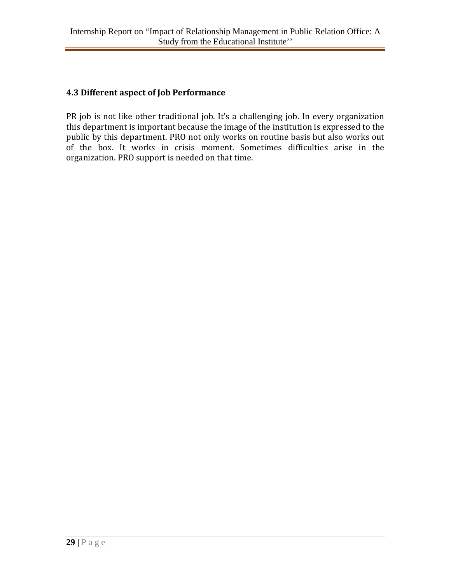#### **4.3 Different aspect of Job Performance**

PR job is not like other traditional job. It's a challenging job. In every organization this department is important because the image of the institution is expressed to the public by this department. PRO not only works on routine basis but also works out of the box. It works in crisis moment. Sometimes difficulties arise in the organization. PRO support is needed on that time.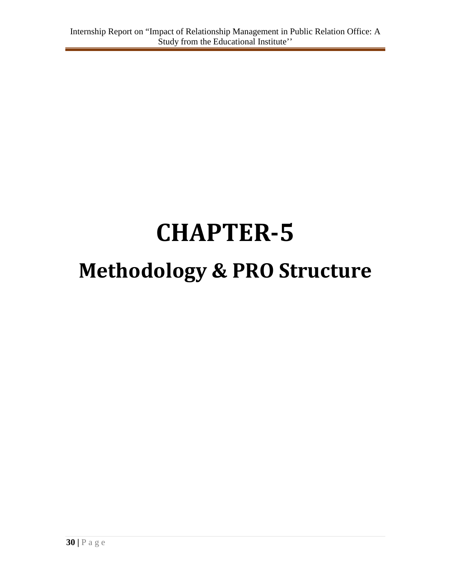# **CHAPTER-5 Methodology & PRO Structure**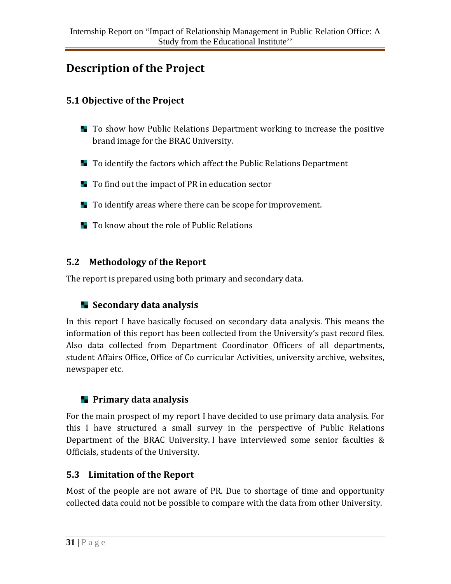## **Description of the Project**

#### **5.1 Objective of the Project**

- **T** To show how Public Relations Department working to increase the positive brand image for the BRAC University.
- **T** To identify the factors which affect the Public Relations Department
- To find out the impact of PR in education sector
- **T** To identify areas where there can be scope for improvement.
- $\blacksquare$  To know about the role of Public Relations

#### **5.2 Methodology of the Report**

The report is prepared using both primary and secondary data.

#### **Secondary data analysis**

In this report I have basically focused on secondary data analysis. This means the information of this report has been collected from the University's past record files. Also data collected from Department Coordinator Officers of all departments, student Affairs Office, Office of Co curricular Activities, university archive, websites, newspaper etc.

#### **Primary data analysis**

For the main prospect of my report I have decided to use primary data analysis. For this I have structured a small survey in the perspective of Public Relations Department of the BRAC University. I have interviewed some senior faculties & Officials, students of the University.

#### **5.3 Limitation of the Report**

Most of the people are not aware of PR. Due to shortage of time and opportunity collected data could not be possible to compare with the data from other University.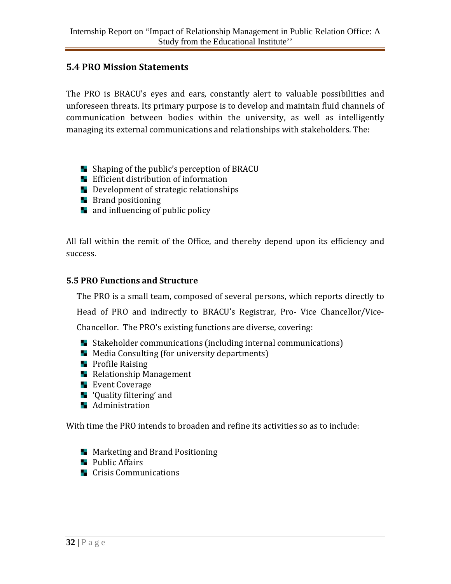#### **5.4 PRO Mission Statements**

The PRO is BRACU's eyes and ears, constantly alert to valuable possibilities and unforeseen threats. Its primary purpose is to develop and maintain fluid channels of communication between bodies within the university, as well as intelligently managing its external communications and relationships with stakeholders. The:

- **Shaping of the public's perception of BRACU**
- **E** Efficient distribution of information
- Development of strategic relationships
- $\blacksquare$  Brand positioning
- **a** and influencing of public policy

All fall within the remit of the Office, and thereby depend upon its efficiency and success.

#### **5.5 PRO Functions and Structure**

The PRO is a small team, composed of several persons, which reports directly to

Head of PRO and indirectly to BRACU's Registrar, Pro- Vice Chancellor/Vice-

Chancellor. The PRO's existing functions are diverse, covering:

- **Stakeholder communications (including internal communications)**
- $\blacksquare$  Media Consulting (for university departments)
- $\blacksquare$  Profile Raising
- **Relationship Management**
- **Exent Coverage**
- **T** 'Quality filtering' and
- **Administration**

With time the PRO intends to broaden and refine its activities so as to include:

- **Marketing and Brand Positioning**
- **Public Affairs**
- **E** Crisis Communications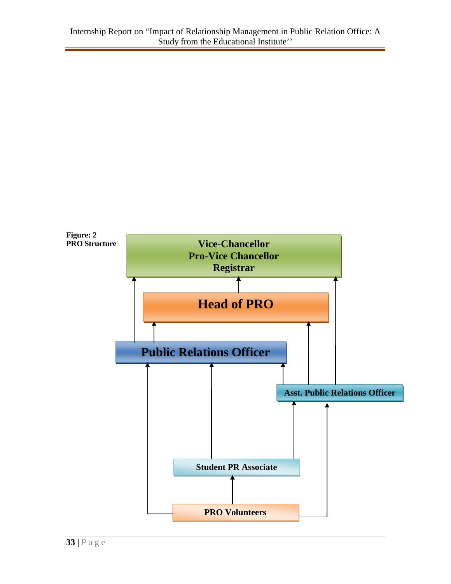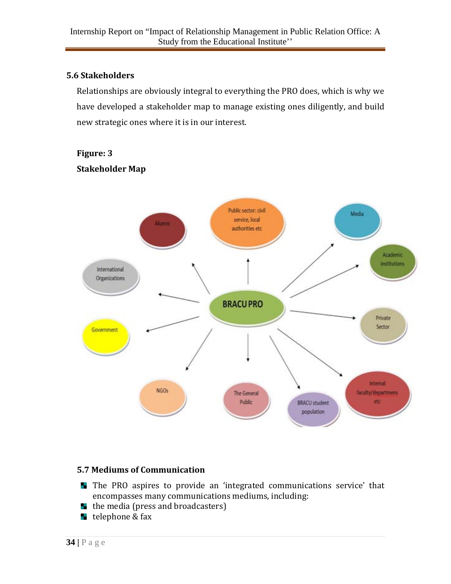#### **5.6 Stakeholders**

Relationships are obviously integral to everything the PRO does, which is why we have developed a stakeholder map to manage existing ones diligently, and build new strategic ones where it is in our interest.

#### **Figure: 3 Stakeholder Map**



#### **5.7 Mediums of Communication**

- The PRO aspires to provide an 'integrated communications service' that encompasses many communications mediums, including:
- $\blacksquare$  the media (press and broadcasters)
- **telephone & fax**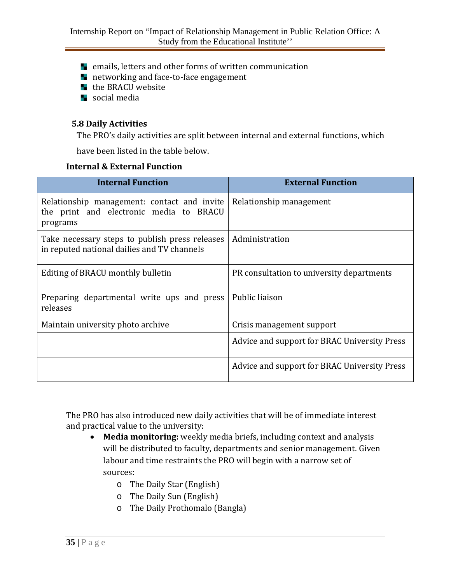- **E** emails, letters and other forms of written communication
- **h** networking and face-to-face engagement
- $\blacksquare$  the BRACU website
- **Social media**

#### **5.8 Daily Activities**

The PRO's daily activities are split between internal and external functions, which

have been listed in the table below.

#### **Internal & External Function**

| <b>Internal Function</b>                                                                           | <b>External Function</b>                     |
|----------------------------------------------------------------------------------------------------|----------------------------------------------|
| Relationship management: contact and invite<br>the print and electronic media to BRACU<br>programs | Relationship management                      |
| Take necessary steps to publish press releases<br>in reputed national dailies and TV channels      | Administration                               |
| Editing of BRACU monthly bulletin                                                                  | PR consultation to university departments    |
| Preparing departmental write ups and press<br>releases                                             | Public liaison                               |
| Maintain university photo archive                                                                  | Crisis management support                    |
|                                                                                                    | Advice and support for BRAC University Press |
|                                                                                                    | Advice and support for BRAC University Press |

The PRO has also introduced new daily activities that will be of immediate interest and practical value to the university:

- **Media monitoring:** weekly media briefs, including context and analysis will be distributed to faculty, departments and senior management. Given labour and time restraints the PRO will begin with a narrow set of sources:
	- o The Daily Star (English)
	- o The Daily Sun (English)
	- o The Daily Prothomalo (Bangla)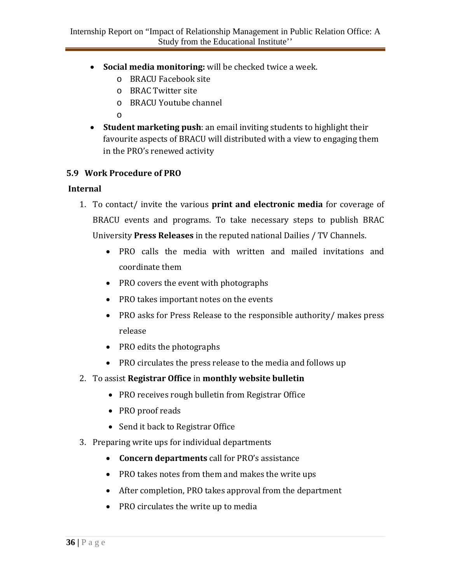- **Social media monitoring:** will be checked twice a week.
	- o BRACU Facebook site
	- o BRAC Twitter site
	- o BRACU Youtube channel
	- o
- **Student marketing push**: an email inviting students to highlight their favourite aspects of BRACU will distributed with a view to engaging them in the PRO's renewed activity

#### **5.9 Work Procedure of PRO**

#### **Internal**

- 1. To contact/ invite the various **print and electronic media** for coverage of BRACU events and programs. To take necessary steps to publish BRAC University **Press Releases** in the reputed national Dailies / TV Channels.
	- PRO calls the media with written and mailed invitations and coordinate them
	- PRO covers the event with photographs
	- PRO takes important notes on the events
	- PRO asks for Press Release to the responsible authority/ makes press release
	- PRO edits the photographs
	- PRO circulates the press release to the media and follows up
- 2. To assist **Registrar Office** in **monthly website bulletin**
	- PRO receives rough bulletin from Registrar Office
	- PRO proof reads
	- Send it back to Registrar Office
- 3. Preparing write ups for individual departments
	- **Concern departments** call for PRO's assistance
	- PRO takes notes from them and makes the write ups
	- After completion, PRO takes approval from the department
	- PRO circulates the write up to media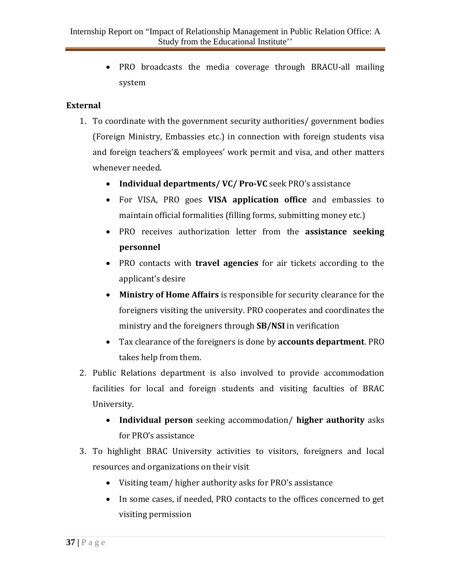• PRO broadcasts the media coverage through BRACU-all mailing system

#### **External**

- 1. To coordinate with the government security authorities/ government bodies (Foreign Ministry, Embassies etc.) in connection with foreign students visa and foreign teachers'& employees' work permit and visa, and other matters whenever needed.
	- **Individual departments/ VC/ Pro-VC** seek PRO's assistance
	- For VISA, PRO goes **VISA application office** and embassies to maintain official formalities (filling forms, submitting money etc.)
	- PRO receives authorization letter from the **assistance seeking personnel**
	- PRO contacts with **travel agencies** for air tickets according to the applicant's desire
	- **Ministry of Home Affairs** is responsible for security clearance for the foreigners visiting the university. PRO cooperates and coordinates the ministry and the foreigners through **SB/NSI** in verification
	- Tax clearance of the foreigners is done by **accounts department**. PRO takes help from them.
- 2. Public Relations department is also involved to provide accommodation facilities for local and foreign students and visiting faculties of BRAC University.
	- **Individual person** seeking accommodation/ **higher authority** asks for PRO's assistance
- 3. To highlight BRAC University activities to visitors, foreigners and local resources and organizations on their visit
	- Visiting team/ higher authority asks for PRO's assistance
	- In some cases, if needed, PRO contacts to the offices concerned to get visiting permission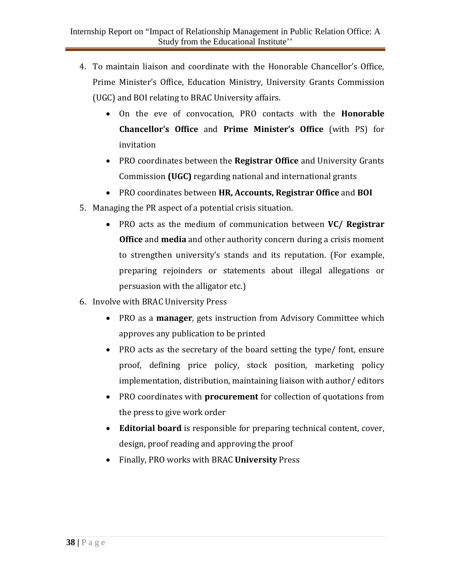- 4. To maintain liaison and coordinate with the Honorable Chancellor's Office, Prime Minister's Office, Education Ministry, University Grants Commission (UGC) and BOI relating to BRAC University affairs.
	- On the eve of convocation, PRO contacts with the **Honorable Chancellor's Office** and **Prime Minister's Office** (with PS) for invitation
	- PRO coordinates between the **Registrar Office** and University Grants Commission **(UGC)** regarding national and international grants
	- PRO coordinates between **HR, Accounts, Registrar Office** and **BOI**
- 5. Managing the PR aspect of a potential crisis situation.
	- PRO acts as the medium of communication between **VC/ Registrar Office** and **media** and other authority concern during a crisis moment to strengthen university's stands and its reputation. (For example, preparing rejoinders or statements about illegal allegations or persuasion with the alligator etc.)
- 6. Involve with BRAC University Press
	- PRO as a **manager**, gets instruction from Advisory Committee which approves any publication to be printed
	- PRO acts as the secretary of the board setting the type/ font, ensure proof, defining price policy, stock position, marketing policy implementation, distribution, maintaining liaison with author/ editors
	- PRO coordinates with **procurement** for collection of quotations from the press to give work order
	- **Editorial board** is responsible for preparing technical content, cover, design, proof reading and approving the proof
	- Finally, PRO works with BRAC **University** Press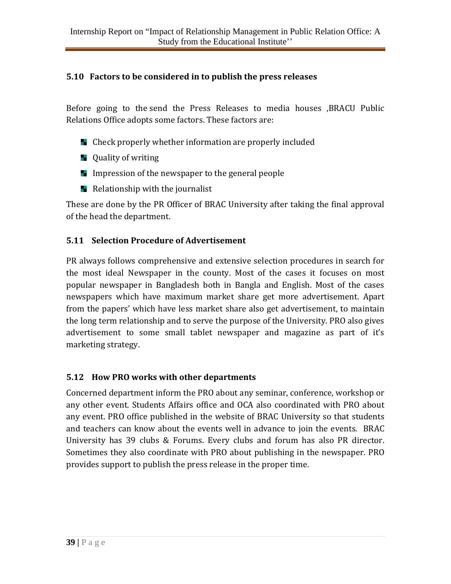#### **5.10 Factors to be considered in to publish the press releases**

Before going to the send the Press Releases to media houses ,BRACU Public Relations Office adopts some factors. These factors are:

- **E** Check properly whether information are properly included
- **L** Quality of writing
- Impression of the newspaper to the general people
- $\blacksquare$  Relationship with the journalist

These are done by the PR Officer of BRAC University after taking the final approval of the head the department.

#### **5.11 Selection Procedure of Advertisement**

PR always follows comprehensive and extensive selection procedures in search for the most ideal Newspaper in the county. Most of the cases it focuses on most popular newspaper in Bangladesh both in Bangla and English. Most of the cases newspapers which have maximum market share get more advertisement. Apart from the papers' which have less market share also get advertisement, to maintain the long term relationship and to serve the purpose of the University. PRO also gives advertisement to some small tablet newspaper and magazine as part of it's marketing strategy.

#### **5.12 How PRO works with other departments**

Concerned department inform the PRO about any seminar, conference, workshop or any other event. Students Affairs office and OCA also coordinated with PRO about any event. PRO office published in the website of BRAC University so that students and teachers can know about the events well in advance to join the events. BRAC University has 39 clubs & Forums. Every clubs and forum has also PR director. Sometimes they also coordinate with PRO about publishing in the newspaper. PRO provides support to publish the press release in the proper time.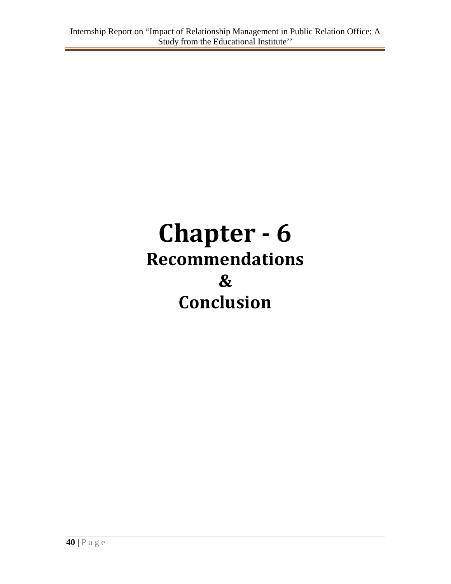# **Chapter - 6 Recommendations & Conclusion**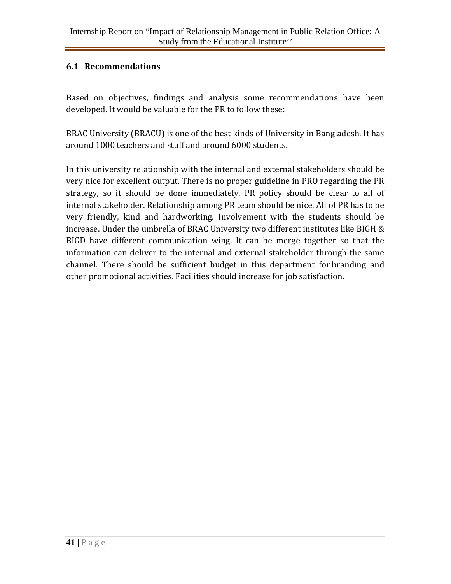#### **6.1 Recommendations**

Based on objectives, findings and analysis some recommendations have been developed. It would be valuable for the PR to follow these:

BRAC University (BRACU) is one of the best kinds of University in Bangladesh. It has around 1000 teachers and stuff and around 6000 students.

In this university relationship with the internal and external stakeholders should be very nice for excellent output. There is no proper guideline in PRO regarding the PR strategy, so it should be done immediately. PR policy should be clear to all of internal stakeholder. Relationship among PR team should be nice. All of PR has to be very friendly, kind and hardworking. Involvement with the students should be increase. Under the umbrella of BRAC University two different institutes like BIGH & BIGD have different communication wing. It can be merge together so that the information can deliver to the internal and external stakeholder through the same channel. There should be sufficient budget in this department for branding and other promotional activities. Facilities should increase for job satisfaction.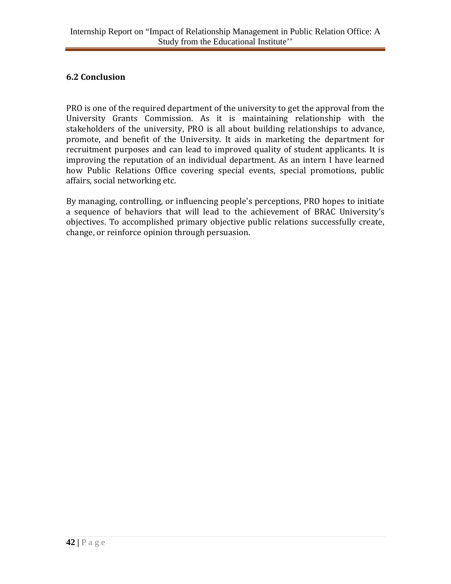#### **6.2 Conclusion**

PRO is one of the required department of the university to get the approval from the University Grants Commission. As it is maintaining relationship with the stakeholders of the university, PRO is all about building relationships to advance, promote, and benefit of the University. It aids in marketing the department for recruitment purposes and can lead to improved quality of student applicants. It is improving the reputation of an individual department. As an intern I have learned how Public Relations Office covering special events, special promotions, public affairs, social networking etc.

By managing, controlling, or influencing people's perceptions, PRO hopes to initiate a sequence of behaviors that will lead to the achievement of BRAC University's objectives. To accomplished primary objective public relations successfully create, change, or reinforce opinion through persuasion.